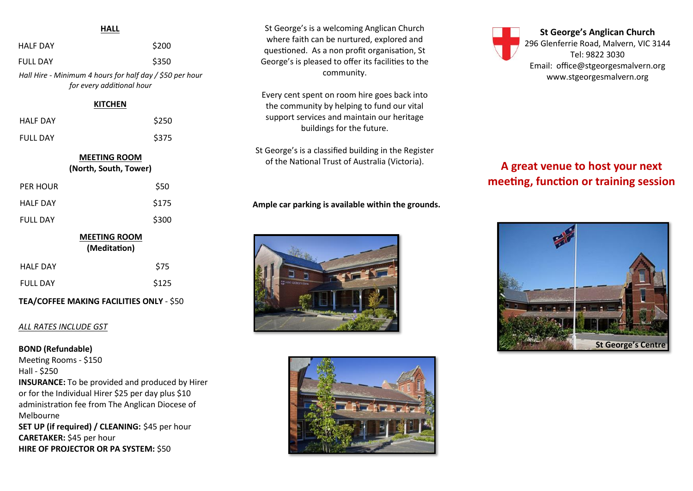#### **HALL**

| HALL                                                                                  |       |
|---------------------------------------------------------------------------------------|-------|
| <b>HALF DAY</b>                                                                       | \$200 |
| FULL DAY                                                                              | \$350 |
| Hall Hire - Minimum 4 hours for half day / \$50 per hour<br>for every additional hour |       |
| <b>KITCHEN</b>                                                                        |       |
| <b>HALF DAY</b>                                                                       | \$250 |
| <b>FULL DAY</b>                                                                       | \$375 |
| <b>MEETING ROOM</b><br>(North, South, Tower)                                          |       |
| PER HOUR                                                                              | \$50  |
| <b>HALF DAY</b>                                                                       | \$175 |
| <b>FULL DAY</b>                                                                       | \$300 |
| <b>MEETING ROOM</b><br>(Meditation)                                                   |       |
| <b>HALF DAY</b>                                                                       | S75   |
|                                                                                       |       |

#### **TEA/COFFEE MAKING FACILITIES ONLY** - \$50

FULL DAY \$125

#### *ALL RATES INCLUDE GST*

#### **BOND (Refundable)**

Meeting Rooms - \$150 Hall - \$250 **INSURANCE:** To be provided and produced by Hirer or for the Individual Hirer \$25 per day plus \$10 administration fee from The Anglican Diocese of Melbourne **SET UP (if required) / CLEANING:** \$45 per hour **CARETAKER:** \$45 per hour **HIRE OF PROJECTOR OR PA SYSTEM:** \$50

St George's is a welcoming Anglican Church where faith can be nurtured, explored and questioned. As a non profit organisation, St George's is pleased to offer its facilities to the community.

Every cent spent on room hire goes back into the community by helping to fund our vital support services and maintain our heritage buildings for the future.

St George's is a classified building in the Register of the National Trust of Australia (Victoria).

**Ample car parking is available within the grounds.**





**St George's Anglican Church** 296 Glenferrie Road, Malvern, VIC 3144 Tel: 9822 3030 Email: office@stgeorgesmalvern.org www.stgeorgesmalvern.org

# **A great venue to host your next meeting, function or training session**